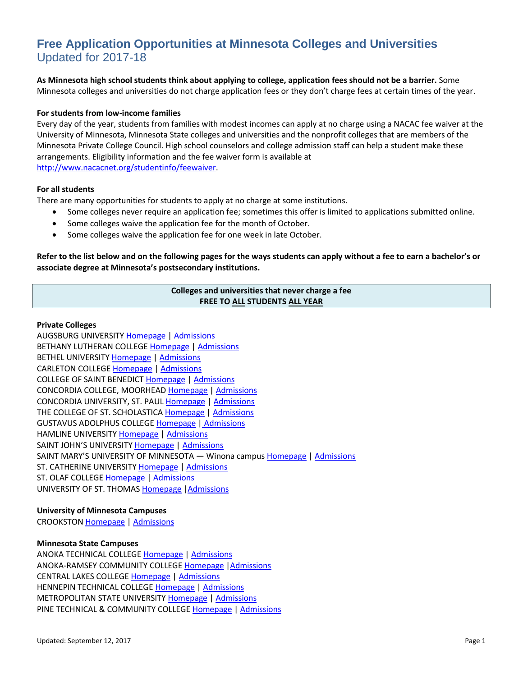# **Free Application Opportunities at Minnesota Colleges and Universities** Updated for 2017-18

**As Minnesota high school students think about applying to college, application fees should not be a barrier.** Some Minnesota colleges and universities do not charge application fees or they don't charge fees at certain times of the year.

#### **For students from low-income families**

Every day of the year, students from families with modest incomes can apply at no charge using a NACAC fee waiver at the University of Minnesota, Minnesota State colleges and universities and the nonprofit colleges that are members of the Minnesota Private College Council. High school counselors and college admission staff can help a student make these arrangements. Eligibility information and the fee waiver form is available at [http://www.nacacnet.org/studentinfo/feewaiver.](http://www.nacacnet.org/studentinfo/feewaiver)

#### **For all students**

There are many opportunities for students to apply at no charge at some institutions.

- Some colleges never require an application fee; sometimes this offer is limited to applications submitted online.
- Some colleges waive the application fee for the month of October.
- Some colleges waive the application fee for one week in late October.

# **Refer to the list below and on the following pages for the ways students can apply without a fee to earn a bachelor's or associate degree at Minnesota's postsecondary institutions.**

# **Colleges and universities that never charge a fee FREE TO ALL STUDENTS ALL YEAR**

#### **Private Colleges**

AUGSBURG UNIVERSITY [Homepage](http://www.augsburg.edu/) [| Admissions](http://www.augsburg.edu/firstyear/) BETHANY LUTHERAN COLLEG[E Homepage](http://www.blc.edu/) [| Admissions](https://www.blc.edu/apply)  BETHEL UNIVERSIT[Y Homepage](http://www.bethel.edu/) [| Admissions](http://cas.bethel.edu/admissions/apply/) CARLETON COLLEGE [Homepage](http://www.carleton.edu/) | [Admissions](file://MDE2KFS01.EDUC.MDE/HomeDirs/BBarsness$/My%20Documents/College%20Application%20Week%202012/go.carleton.edu/apply) COLLEGE OF SAINT BENEDIC[T Homepage](http://www.csbsju.edu/) [| Admissions](http://www.csbsju.edu/Admission/apply/unitedstates.htm) CONCORDIA COLLEGE, MOORHEA[D Homepage](http://www.cord.edu/) [| Admissions](http://www.concordiacollege.edu/apply) CONCORDIA UNIVERSITY, ST. PAUL [Homepage](http://www.csp.edu/) | [Admissions](http://www.csp.edu/admission/) THE COLLEGE OF ST. SCHOLASTICA [Homepage](http://www.css.edu/) | [Admissions](http://www.css.edu/Undergraduate/Admissions.html) GUSTAVUS ADOLPHUS COLLEGE [Homepage](http://www.gustavus.edu/) | [Admissions](http://admission.gustavus.edu/admissions/apply/) HAMLINE UNIVERSITY [Homepage](http://www.hamline.edu/) | [Admissions](http://www.hamline.edu/undergraduate/admission/apply.html) SAINT JOHN'S UNIVERSIT[Y Homepage](http://www.csbsju.edu/) [| Admissions](http://www.csbsju.edu/Admission/apply/unitedstates.htm) SAINT MARY'S UNIVERSITY OF MINNESOTA — Winona campu[s Homepage](http://www.smumn.edu/) [| Admissions](http://www.smumn.edu/admission) ST. CATHERINE UNIVERSIT[Y Homepage](http://www.stkate.edu/) | [Admissions](http://www.stkate.edu/admissions) ST. OLAF COLLEG[E Homepage](http://www.stolaf.edu/) [| Admissions](http://www.stolaf.edu/admissions/) UNIVERSITY OF ST. THOMAS [Homepage](http://www.stthomas.edu/) [|Admissions](http://www.stthomas.edu/admissions/undergraduate/apply/) 

#### **University of Minnesota Campuses**

CROOKSTON [Homepage](http://www1.crk.umn.edu/) | [Admissions](http://www1.crk.umn.edu/admissions/)

# **Minnesota State Campuses**

ANOKA TECHNICAL COLLEGE [Homepage](http://www.anokatech.edu/) | [Admissions](http://www.anokatech.edu/future_students/college/admissions/Admission_Checklist.html) ANOKA-RAMSEY COMMUNITY COLLEGE [Homepage](http://www.anokaramsey.edu/) [|Admissions](http://www.anokaramsey.edu/en/student/Admissions/GeneralStudentApplication.aspx) CENTRAL LAKES COLLEG[E Homepage](http://www.clcmn.edu/) | [Admissions](http://www.clcmn.edu/admissions/admissions-forms/) HENNEPIN TECHNICAL COLLEG[E Homepage](http://www.hennepintechn.edu/) [| Admissions](http://www.hennepintech.edu/getstarted/) METROPOLITAN STATE UNIVERSIT[Y Homepage](http://www.metrostate.edu/) [| Admissions](http://www.metrostate.edu/msweb/apply/) PINE TECHNICAL & COMMUNITY COLLEGE [Homepage](http://www.pinetech.edu/) | [Admissions](http://www.pinetech.edu/future-students/first-time-students/apply-to-the-college)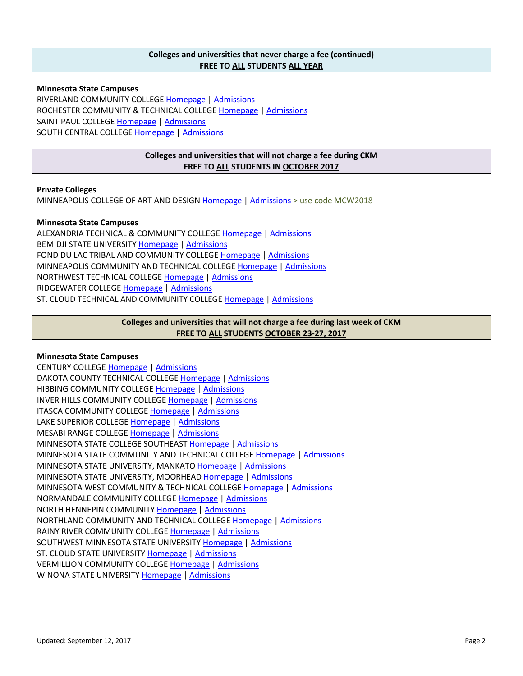# **Colleges and universities that never charge a fee (continued) FREE TO ALL STUDENTS ALL YEAR**

**Minnesota State Campuses** RIVERLAND COMMUNITY COLLEGE [Homepage](http://www.riverland.edu/) [| Admissions](http://www.riverland.edu/admissions/apply-online.cfm) ROCHESTER COMMUNITY & TECHNICAL COLLEGE [Homepage](http://www.rctc.edu/) | [Admissions](http://www.rctc.edu/admissions/html/application_form.html) SAINT PAUL COLLEG[E Homepage](http://www.saintpaul.edu/) [| Admissions](http://www.saintpaul.edu/prospectivestudents/Pages/apply.aspx) SOUTH CENTRAL COLLEGE [Homepage](http://www.southcentral.edu/) [| Admissions](http://southcentral.edu/general/admissions-checklist.html)

# **Colleges and universities that will not charge a fee during CKM FREE TO ALL STUDENTS IN OCTOBER 2017**

# **Private Colleges**

MINNEAPOLIS COLLEGE OF ART AND DESIGN [Homepage](http://mcad.edu/) | [Admissions](http://mcad.edu/admissions) > use code MCW2018

#### **Minnesota State Campuses**

ALEXANDRIA TECHNICAL & COMMUNITY COLLEGE [Homepage](http://www.alextech.edu/) | [Admissions](http://web.alextech.edu/en/Pages/ProspectiveStudents.aspx) BEMIDJI STATE UNIVERSITY [Homepage](http://www.bemidjistate.edu/) | [Admissions](http://www.bemidjistate.edu/admissions/undergrad/submit/applynow/) FOND DU LAC TRIBAL AND COMMUNITY COLLEGE [Homepage](http://www.fdltcc.edu/) | [Admissions](http://www.fdltcc.edu/prospective/admissions/procedures.shtml) MINNEAPOLIS COMMUNITY AND TECHNICAL COLLEGE [Homepage](http://www.minneapolis.edu/) | [Admissions](http://www.minneapolis.edu/Admissions) NORTHWEST TECHNICAL COLLEGE [Homepage](http://www.ntcmn.edu/) | [Admissions](http://www.ntcmn.edu/become_learner/apply_now/) RIDGEWATER COLLEGE [Homepage](http://www.ridgewater.edu/) | [Admissions](http://www.ridgewater.edu/Future-Students/apply-to-ridgewater/Pages/default.aspx) ST. CLOUD TECHNICAL AND COMMUNITY COLLEGE [Homepage](http://www.sctcc.edu/) [| Admissions](http://www.sctcc.edu/sites/default/files/admissions/documents/application.pdf)

# **Colleges and universities that will not charge a fee during last week of CKM FREE TO ALL STUDENTS OCTOBER 23-27, 2017**

# **Minnesota State Campuses**

CENTURY COLLEGE [Homepage](http://www.century.edu/) [| Admissions](http://www.century.edu/futurestudents/admissions/applyonline.aspx) DAKOTA COUNTY TECHNICAL COLLEGE [Homepage](http://www.dctc.edu/) [| Admissions](http://www.dctc.edu/admissions/) HIBBING COMMUNITY COLLEGE [Homepage](http://www.hibbing.edu/) | [Admissions](http://www.hcc.mnscu.edu/admissions/admissions-overview.html) INVER HILLS COMMUNITY COLLEGE [Homepage](http://www.inverhills.edu/) | [Admissions](http://www.inverhills.edu/Admissions/Steps/General.aspx) ITASCA COMMUNITY COLLEGE [Homepage](http://www.itascacc.edu/) | [Admissions](http://www.itascacc.edu/admissions/) LAKE SUPERIOR COLLEGE [Homepage](http://www.lsc.edu/) [| Admissions](http://www.matchcollege.com/college/173461/Lake-Superior-College/MN) MESABI RANGE COLLEGE [Homepage](http://www.mesabirange.edu/) | [Admissions](http://www.mesabirange.edu/future-students/admission/overview) MINNESOTA STATE COLLEGE SOUTHEAST [Homepage](http://www.southeastmn.edu/) | [Admissions](http://www.southeastmn.edu/become_a_student/index.aspx) MINNESOTA STATE COMMUNITY AND TECHNICAL COLLEG[E Homepage](http://www.minnesota.edu/) [| Admissions](http://www.minnesota.edu/admissions/) MINNESOTA STATE UNIVERSITY, MANKATO [Homepage](http://www.mnsu.edu/) | [Admissions](http://www.mnsu.edu/admissions/applynow.html) MINNESOTA STATE UNIVERSITY, MOORHEAD [Homepage](http://www.msum.com/) | [Admissions](http://www.mnstate.edu/admissions/apply.aspx) MINNESOTA WEST COMMUNITY & TECHNICAL COLLEGE [Homepage](http://www.mnwest.edu/) [| Admissions](http://www.mnwest.edu/admissions/) NORMANDALE COMMUNITY COLLEGE [Homepage](http://www.normandale.edu/) | [Admissions](http://www.normandale.edu/admissions/) NORTH HENNEPIN COMMUNITY [Homepage](http://www.nhcc.edu/) [| Admissions](http://www.nhcc.edu/main/Admissions.aspx) NORTHLAND COMMUNITY AND TECHNICAL COLLEGE [Homepage](http://www.northlandcollege.edu/) | [Admissions](http://www.northlandcollege.edu/apply/new-student-application/) RAINY RIVER COMMUNITY COLLEG[E Homepage](http://www.rrcc.mnscu.edu/) [| Admissions](http://www.rrcc.mnscu.edu/applynow/index.cfm) SOUTHWEST MINNESOTA STATE UNIVERSIT[Y Homepage](http://www.smsu.edu/) [| Admissions](http://www.smsu.edu/admission/undergraduate/?Id=5536) ST. CLOUD STATE UNIVERSIT[Y Homepage](http://www.stcloudstate.edu/) [| Admissions](http://www.stcloudstate.edu/scsu4u/admissions/default.asp) VERMILLION COMMUNITY COLLEGE [Homepage](http://www.vcc.edu/) | [Admissions](http://www.vcc.edu/explore/services/enrollment/eapplication.cfm) WINONA STATE UNIVERSITY [Homepage](http://www.winona.edu/) | [Admissions](http://www.winona.edu/admissions/apply.asp)